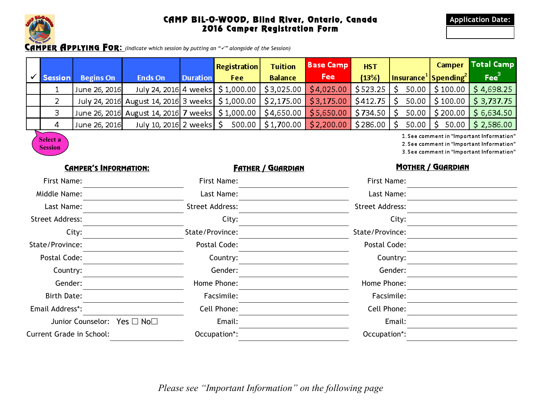

## CAMP BIL-O-WOOD, Blind River, Ontario, Canada 2016 Camper Registration Form



# CAMPER APPLYING FOR**:** *(Indicate which session by putting an "*!*" alongside of the Session)*

|                                           |                |                  |                                                                                                  |                 | <b>Registration</b>                             | <b>Tuition</b>        | <b>Base Camp</b>         | <b>HST</b>              |                                                        | <b>Camper</b> | Total Camp                      |
|-------------------------------------------|----------------|------------------|--------------------------------------------------------------------------------------------------|-----------------|-------------------------------------------------|-----------------------|--------------------------|-------------------------|--------------------------------------------------------|---------------|---------------------------------|
|                                           | <b>Session</b> | <b>Begins On</b> | <b>Ends On</b>                                                                                   | <b>Duration</b> | <b>Fee</b>                                      | <b>Balance</b>        | <b>Fee</b>               | (13%)                   | $\vert$ Insurance <sup>1</sup>   Spending <sup>2</sup> |               | $\textsf{Free}^3$               |
|                                           |                | June 26, 2016    |                                                                                                  |                 | July 24, 2016 4 weeks   \$1,000.00   \$3,025.00 |                       | $\frac{1}{2}$ \$4,025.00 | $$523.25$ S             |                                                        |               | $50.00$   \$100.00   \$4,698.25 |
|                                           |                |                  | July 24, 2016 August 14, 2016 3 weeks   \$ 1,000.00   \$ 2,175.00   \$ 3,175.00   \$ 412.75   \$ |                 |                                                 |                       |                          |                         |                                                        |               | $50.00$   \$100.00   \$3,737.75 |
|                                           |                |                  | June 26, 2016 August 14, 2016 7 weeks   \$ 1,000.00   \$4,650.00   \$5,650.00                    |                 |                                                 |                       |                          | $$734.50$ $\frac{1}{5}$ | 50.00                                                  |               | $$200.00$   \$6,634.50          |
|                                           | 4              | June 26, 2016    | July 10, 2016 2 weeks   \$                                                                       |                 |                                                 | $500.00$   \$1,700.00 | \$2,200.00               | $$286.00$ $$$           | 50.00                                                  |               | $50.00$   \$ 2,586.00           |
| 1. See comment in "Important Information" |                |                  |                                                                                                  |                 |                                                 |                       |                          |                         |                                                        |               |                                 |



2. See comment in "Important Information"

3. See comment in "Important Information"

### <u>CAMPER'S INFORMATION:</u> EATHER / GUARDIAN MOTHER / GUARDIAN

| First Name:                     | First Name:            | First Name:            |  |
|---------------------------------|------------------------|------------------------|--|
| Middle Name:                    | Last Name:             | Last Name:             |  |
| Last Name:                      | <b>Street Address:</b> | <b>Street Address:</b> |  |
| <b>Street Address:</b>          | City:                  | City:                  |  |
| City:                           | State/Province:        | State/Province:        |  |
| State/Province:                 | Postal Code:           | Postal Code:           |  |
| Postal Code:                    | Country:               | Country:               |  |
| Country:                        | Gender:                | Gender:                |  |
| Gender:                         | Home Phone:            | Home Phone:            |  |
| <b>Birth Date:</b>              | Facsimile:             | Facsimile:             |  |
| Email Address*:                 | Cell Phone:            | Cell Phone:            |  |
| Junior Counselor: Yes □ No□     | Email:                 | Email:                 |  |
| <b>Current Grade in School:</b> | Occupation*:           | Occupation*:           |  |
|                                 |                        |                        |  |

*Please see "Important Information" on the following page*